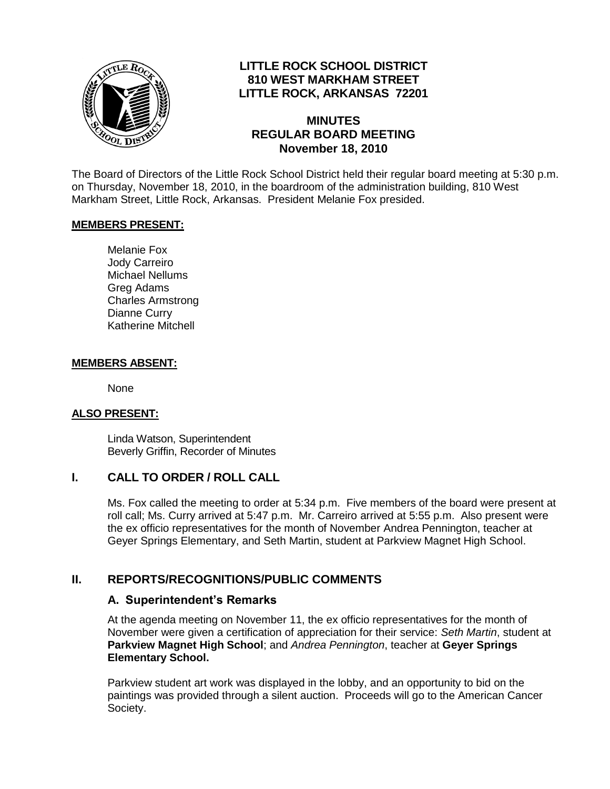

# **LITTLE ROCK SCHOOL DISTRICT 810 WEST MARKHAM STREET LITTLE ROCK, ARKANSAS 72201**

## **MINUTES REGULAR BOARD MEETING November 18, 2010**

The Board of Directors of the Little Rock School District held their regular board meeting at 5:30 p.m. on Thursday, November 18, 2010, in the boardroom of the administration building, 810 West Markham Street, Little Rock, Arkansas. President Melanie Fox presided.

#### **MEMBERS PRESENT:**

Melanie Fox Jody Carreiro Michael Nellums Greg Adams Charles Armstrong Dianne Curry Katherine Mitchell

#### **MEMBERS ABSENT:**

None

#### **ALSO PRESENT:**

Linda Watson, Superintendent Beverly Griffin, Recorder of Minutes

#### **I. CALL TO ORDER / ROLL CALL**

Ms. Fox called the meeting to order at 5:34 p.m. Five members of the board were present at roll call; Ms. Curry arrived at 5:47 p.m. Mr. Carreiro arrived at 5:55 p.m. Also present were the ex officio representatives for the month of November Andrea Pennington, teacher at Geyer Springs Elementary, and Seth Martin, student at Parkview Magnet High School.

## **II. REPORTS/RECOGNITIONS/PUBLIC COMMENTS**

#### **A. Superintendent's Remarks**

At the agenda meeting on November 11, the ex officio representatives for the month of November were given a certification of appreciation for their service: *Seth Martin*, student at **Parkview Magnet High School**; and *Andrea Pennington*, teacher at **Geyer Springs Elementary School.** 

Parkview student art work was displayed in the lobby, and an opportunity to bid on the paintings was provided through a silent auction. Proceeds will go to the American Cancer Society.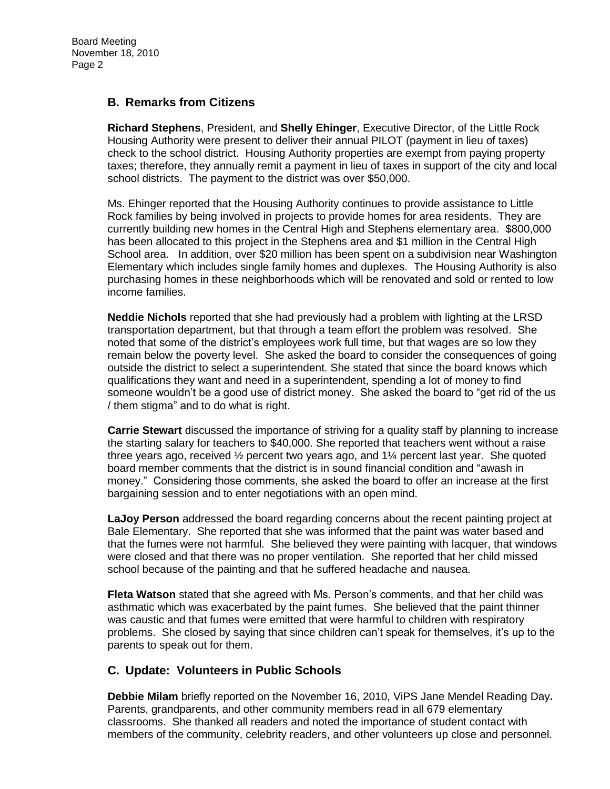## **B. Remarks from Citizens**

**Richard Stephens**, President, and **Shelly Ehinger**, Executive Director, of the Little Rock Housing Authority were present to deliver their annual PILOT (payment in lieu of taxes) check to the school district. Housing Authority properties are exempt from paying property taxes; therefore, they annually remit a payment in lieu of taxes in support of the city and local school districts. The payment to the district was over \$50,000.

Ms. Ehinger reported that the Housing Authority continues to provide assistance to Little Rock families by being involved in projects to provide homes for area residents. They are currently building new homes in the Central High and Stephens elementary area. \$800,000 has been allocated to this project in the Stephens area and \$1 million in the Central High School area. In addition, over \$20 million has been spent on a subdivision near Washington Elementary which includes single family homes and duplexes. The Housing Authority is also purchasing homes in these neighborhoods which will be renovated and sold or rented to low income families.

**Neddie Nichols** reported that she had previously had a problem with lighting at the LRSD transportation department, but that through a team effort the problem was resolved. She noted that some of the district's employees work full time, but that wages are so low they remain below the poverty level. She asked the board to consider the consequences of going outside the district to select a superintendent. She stated that since the board knows which qualifications they want and need in a superintendent, spending a lot of money to find someone wouldn't be a good use of district money. She asked the board to "get rid of the us / them stigma" and to do what is right.

**Carrie Stewart** discussed the importance of striving for a quality staff by planning to increase the starting salary for teachers to \$40,000. She reported that teachers went without a raise three years ago, received  $\frac{1}{2}$  percent two years ago, and  $1\frac{1}{2}$  percent last year. She quoted board member comments that the district is in sound financial condition and "awash in money." Considering those comments, she asked the board to offer an increase at the first bargaining session and to enter negotiations with an open mind.

**LaJoy Person** addressed the board regarding concerns about the recent painting project at Bale Elementary. She reported that she was informed that the paint was water based and that the fumes were not harmful. She believed they were painting with lacquer, that windows were closed and that there was no proper ventilation. She reported that her child missed school because of the painting and that he suffered headache and nausea.

**Fleta Watson** stated that she agreed with Ms. Person's comments, and that her child was asthmatic which was exacerbated by the paint fumes. She believed that the paint thinner was caustic and that fumes were emitted that were harmful to children with respiratory problems. She closed by saying that since children can't speak for themselves, it's up to the parents to speak out for them.

## **C. Update: Volunteers in Public Schools**

**Debbie Milam** briefly reported on the November 16, 2010, ViPS Jane Mendel Reading Day**.**  Parents, grandparents, and other community members read in all 679 elementary classrooms. She thanked all readers and noted the importance of student contact with members of the community, celebrity readers, and other volunteers up close and personnel.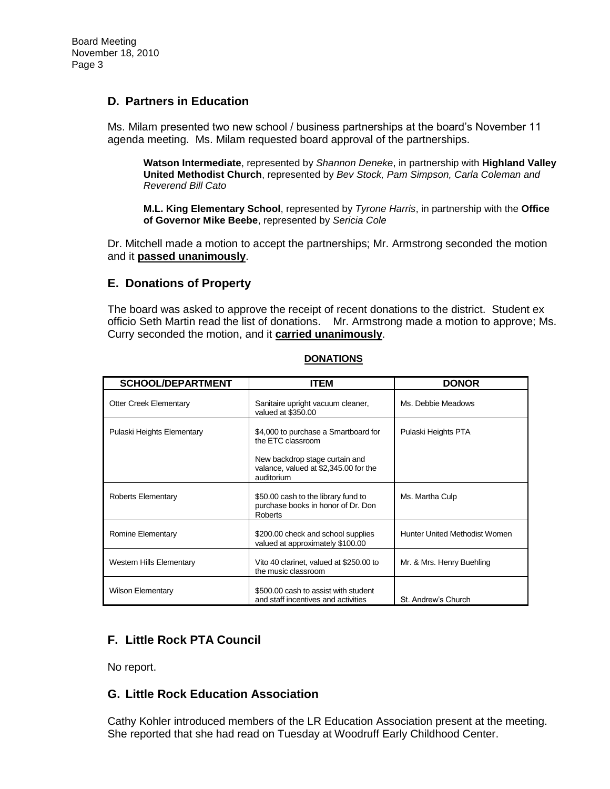## **D. Partners in Education**

Ms. Milam presented two new school / business partnerships at the board's November 11 agenda meeting. Ms. Milam requested board approval of the partnerships.

**Watson Intermediate**, represented by *Shannon Deneke*, in partnership with **Highland Valley United Methodist Church**, represented by *Bev Stock, Pam Simpson, Carla Coleman and Reverend Bill Cato*

**M.L. King Elementary School**, represented by *Tyrone Harris*, in partnership with the **Office of Governor Mike Beebe**, represented by *Sericia Cole*

Dr. Mitchell made a motion to accept the partnerships; Mr. Armstrong seconded the motion and it **passed unanimously**.

### **E. Donations of Property**

The board was asked to approve the receipt of recent donations to the district. Student ex officio Seth Martin read the list of donations. Mr. Armstrong made a motion to approve; Ms. Curry seconded the motion, and it **carried unanimously**.

| <b>SCHOOL/DEPARTMENT</b>        | <b>ITEM</b>                                                                                                                                        | <b>DONOR</b>                         |
|---------------------------------|----------------------------------------------------------------------------------------------------------------------------------------------------|--------------------------------------|
|                                 |                                                                                                                                                    |                                      |
| <b>Otter Creek Elementary</b>   | Sanitaire upright vacuum cleaner,<br>valued at \$350.00                                                                                            | Ms. Debbie Meadows                   |
| Pulaski Heights Elementary      | \$4,000 to purchase a Smartboard for<br>the ETC classroom<br>New backdrop stage curtain and<br>valance, valued at \$2,345.00 for the<br>auditorium | Pulaski Heights PTA                  |
| Roberts Elementary              | \$50.00 cash to the library fund to<br>purchase books in honor of Dr. Don<br><b>Roberts</b>                                                        | Ms. Martha Culp                      |
| Romine Elementary               | \$200.00 check and school supplies<br>valued at approximately \$100.00                                                                             | <b>Hunter United Methodist Women</b> |
| <b>Western Hills Elementary</b> | Vito 40 clarinet, valued at \$250.00 to<br>the music classroom                                                                                     | Mr. & Mrs. Henry Buehling            |
| Wilson Elementary               | \$500.00 cash to assist with student<br>and staff incentives and activities                                                                        | St. Andrew's Church                  |

### **DONATIONS**

# **F. Little Rock PTA Council**

No report.

## **G. Little Rock Education Association**

Cathy Kohler introduced members of the LR Education Association present at the meeting. She reported that she had read on Tuesday at Woodruff Early Childhood Center.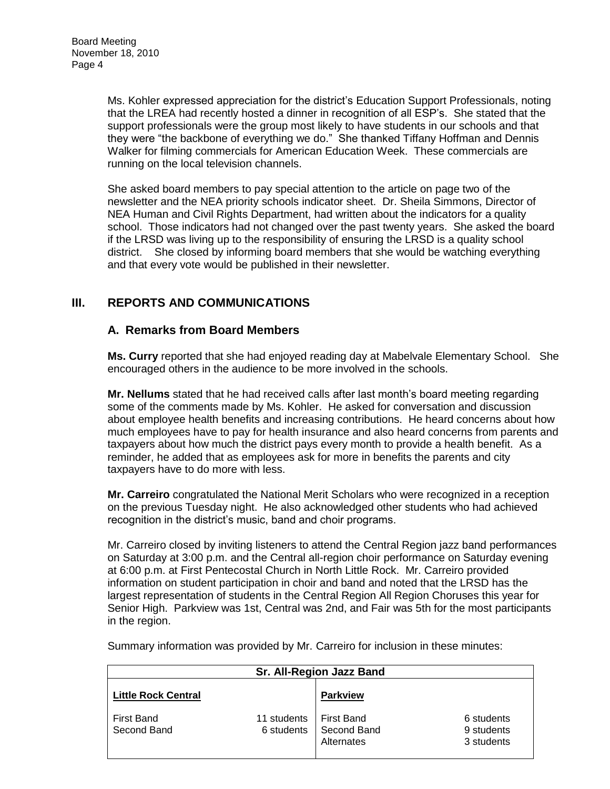Ms. Kohler expressed appreciation for the district's Education Support Professionals, noting that the LREA had recently hosted a dinner in recognition of all ESP's. She stated that the support professionals were the group most likely to have students in our schools and that they were "the backbone of everything we do." She thanked Tiffany Hoffman and Dennis Walker for filming commercials for American Education Week. These commercials are running on the local television channels.

She asked board members to pay special attention to the article on page two of the newsletter and the NEA priority schools indicator sheet. Dr. Sheila Simmons, Director of NEA Human and Civil Rights Department, had written about the indicators for a quality school. Those indicators had not changed over the past twenty years. She asked the board if the LRSD was living up to the responsibility of ensuring the LRSD is a quality school district. She closed by informing board members that she would be watching everything and that every vote would be published in their newsletter.

# **III. REPORTS AND COMMUNICATIONS**

### **A. Remarks from Board Members**

**Ms. Curry** reported that she had enjoyed reading day at Mabelvale Elementary School. She encouraged others in the audience to be more involved in the schools.

**Mr. Nellums** stated that he had received calls after last month's board meeting regarding some of the comments made by Ms. Kohler. He asked for conversation and discussion about employee health benefits and increasing contributions. He heard concerns about how much employees have to pay for health insurance and also heard concerns from parents and taxpayers about how much the district pays every month to provide a health benefit. As a reminder, he added that as employees ask for more in benefits the parents and city taxpayers have to do more with less.

**Mr. Carreiro** congratulated the National Merit Scholars who were recognized in a reception on the previous Tuesday night. He also acknowledged other students who had achieved recognition in the district's music, band and choir programs.

Mr. Carreiro closed by inviting listeners to attend the Central Region jazz band performances on Saturday at 3:00 p.m. and the Central all-region choir performance on Saturday evening at 6:00 p.m. at First Pentecostal Church in North Little Rock. Mr. Carreiro provided information on student participation in choir and band and noted that the LRSD has the largest representation of students in the Central Region All Region Choruses this year for Senior High. Parkview was 1st, Central was 2nd, and Fair was 5th for the most participants in the region.

| Sr. All-Region Jazz Band         |                           |                                         |                                        |  |  |  |
|----------------------------------|---------------------------|-----------------------------------------|----------------------------------------|--|--|--|
| <b>Little Rock Central</b>       |                           | <b>Parkview</b>                         |                                        |  |  |  |
| <b>First Band</b><br>Second Band | 11 students<br>6 students | First Band<br>Second Band<br>Alternates | 6 students<br>9 students<br>3 students |  |  |  |

Summary information was provided by Mr. Carreiro for inclusion in these minutes: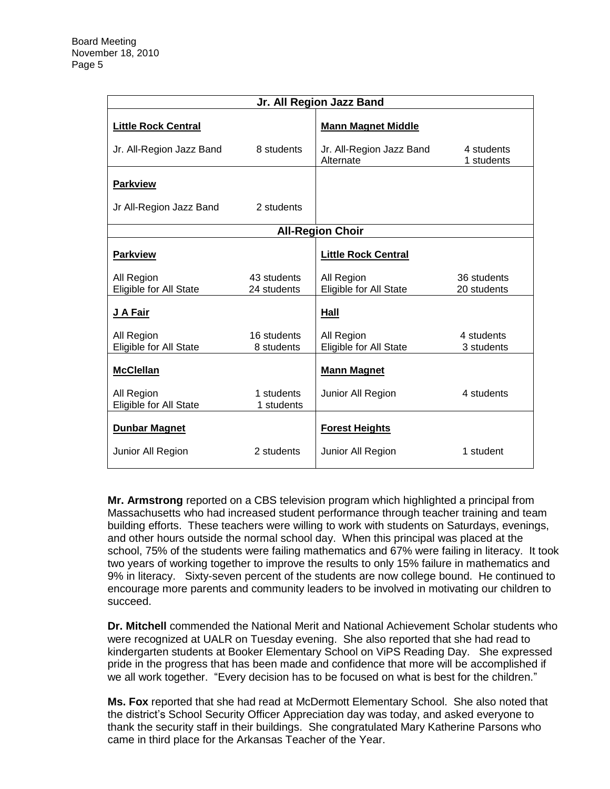| Jr. All Region Jazz Band                    |                            |                                       |                            |  |  |  |
|---------------------------------------------|----------------------------|---------------------------------------|----------------------------|--|--|--|
| <b>Little Rock Central</b>                  |                            | <b>Mann Magnet Middle</b>             |                            |  |  |  |
| Jr. All-Region Jazz Band                    | 8 students                 | Jr. All-Region Jazz Band<br>Alternate | 4 students<br>1 students   |  |  |  |
| <b>Parkview</b>                             |                            |                                       |                            |  |  |  |
| Jr All-Region Jazz Band                     | 2 students                 |                                       |                            |  |  |  |
| <b>All-Region Choir</b>                     |                            |                                       |                            |  |  |  |
| <b>Parkview</b>                             |                            | <b>Little Rock Central</b>            |                            |  |  |  |
| All Region<br>Eligible for All State        | 43 students<br>24 students | All Region<br>Eligible for All State  | 36 students<br>20 students |  |  |  |
| J A Fair                                    |                            | Hall                                  |                            |  |  |  |
| All Region<br>Eligible for All State        | 16 students<br>8 students  | All Region<br>Eligible for All State  | 4 students<br>3 students   |  |  |  |
| <b>McClellan</b>                            |                            | <b>Mann Magnet</b>                    |                            |  |  |  |
| All Region<br><b>Eligible for All State</b> | 1 students<br>1 students   | Junior All Region                     | 4 students                 |  |  |  |
| <b>Dunbar Magnet</b>                        |                            | <b>Forest Heights</b>                 |                            |  |  |  |
| Junior All Region                           | 2 students                 | Junior All Region                     | 1 student                  |  |  |  |

**Mr. Armstrong** reported on a CBS television program which highlighted a principal from Massachusetts who had increased student performance through teacher training and team building efforts. These teachers were willing to work with students on Saturdays, evenings, and other hours outside the normal school day. When this principal was placed at the school, 75% of the students were failing mathematics and 67% were failing in literacy. It took two years of working together to improve the results to only 15% failure in mathematics and 9% in literacy. Sixty-seven percent of the students are now college bound. He continued to encourage more parents and community leaders to be involved in motivating our children to succeed.

**Dr. Mitchell** commended the National Merit and National Achievement Scholar students who were recognized at UALR on Tuesday evening. She also reported that she had read to kindergarten students at Booker Elementary School on ViPS Reading Day. She expressed pride in the progress that has been made and confidence that more will be accomplished if we all work together. "Every decision has to be focused on what is best for the children."

**Ms. Fox** reported that she had read at McDermott Elementary School. She also noted that the district's School Security Officer Appreciation day was today, and asked everyone to thank the security staff in their buildings. She congratulated Mary Katherine Parsons who came in third place for the Arkansas Teacher of the Year.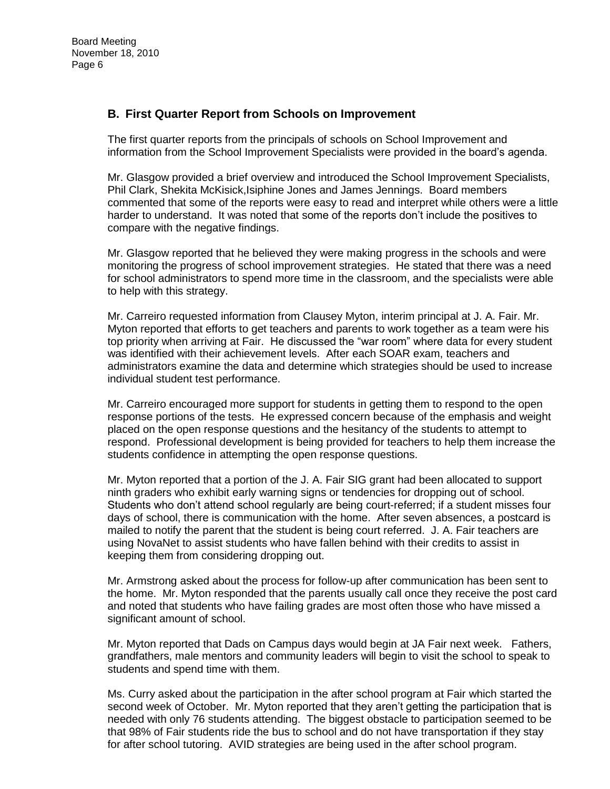## **B. First Quarter Report from Schools on Improvement**

The first quarter reports from the principals of schools on School Improvement and information from the School Improvement Specialists were provided in the board's agenda.

Mr. Glasgow provided a brief overview and introduced the School Improvement Specialists, Phil Clark, Shekita McKisick,Isiphine Jones and James Jennings. Board members commented that some of the reports were easy to read and interpret while others were a little harder to understand. It was noted that some of the reports don't include the positives to compare with the negative findings.

Mr. Glasgow reported that he believed they were making progress in the schools and were monitoring the progress of school improvement strategies. He stated that there was a need for school administrators to spend more time in the classroom, and the specialists were able to help with this strategy.

Mr. Carreiro requested information from Clausey Myton, interim principal at J. A. Fair. Mr. Myton reported that efforts to get teachers and parents to work together as a team were his top priority when arriving at Fair. He discussed the "war room" where data for every student was identified with their achievement levels. After each SOAR exam, teachers and administrators examine the data and determine which strategies should be used to increase individual student test performance.

Mr. Carreiro encouraged more support for students in getting them to respond to the open response portions of the tests. He expressed concern because of the emphasis and weight placed on the open response questions and the hesitancy of the students to attempt to respond. Professional development is being provided for teachers to help them increase the students confidence in attempting the open response questions.

Mr. Myton reported that a portion of the J. A. Fair SIG grant had been allocated to support ninth graders who exhibit early warning signs or tendencies for dropping out of school. Students who don't attend school regularly are being court-referred; if a student misses four days of school, there is communication with the home. After seven absences, a postcard is mailed to notify the parent that the student is being court referred. J. A. Fair teachers are using NovaNet to assist students who have fallen behind with their credits to assist in keeping them from considering dropping out.

Mr. Armstrong asked about the process for follow-up after communication has been sent to the home. Mr. Myton responded that the parents usually call once they receive the post card and noted that students who have failing grades are most often those who have missed a significant amount of school.

Mr. Myton reported that Dads on Campus days would begin at JA Fair next week. Fathers, grandfathers, male mentors and community leaders will begin to visit the school to speak to students and spend time with them.

Ms. Curry asked about the participation in the after school program at Fair which started the second week of October. Mr. Myton reported that they aren't getting the participation that is needed with only 76 students attending. The biggest obstacle to participation seemed to be that 98% of Fair students ride the bus to school and do not have transportation if they stay for after school tutoring. AVID strategies are being used in the after school program.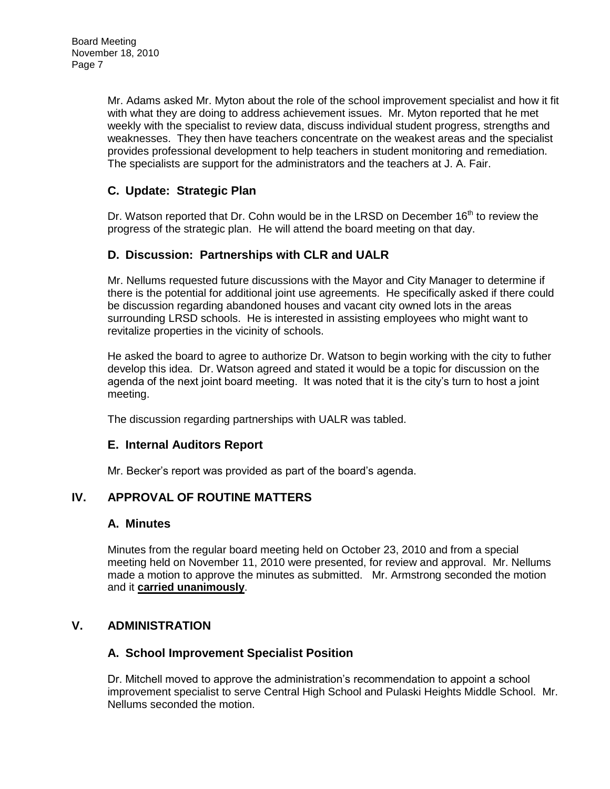Mr. Adams asked Mr. Myton about the role of the school improvement specialist and how it fit with what they are doing to address achievement issues. Mr. Myton reported that he met weekly with the specialist to review data, discuss individual student progress, strengths and weaknesses. They then have teachers concentrate on the weakest areas and the specialist provides professional development to help teachers in student monitoring and remediation. The specialists are support for the administrators and the teachers at J. A. Fair.

# **C. Update: Strategic Plan**

Dr. Watson reported that Dr. Cohn would be in the LRSD on December  $16<sup>th</sup>$  to review the progress of the strategic plan. He will attend the board meeting on that day.

# **D. Discussion: Partnerships with CLR and UALR**

Mr. Nellums requested future discussions with the Mayor and City Manager to determine if there is the potential for additional joint use agreements. He specifically asked if there could be discussion regarding abandoned houses and vacant city owned lots in the areas surrounding LRSD schools. He is interested in assisting employees who might want to revitalize properties in the vicinity of schools.

He asked the board to agree to authorize Dr. Watson to begin working with the city to futher develop this idea. Dr. Watson agreed and stated it would be a topic for discussion on the agenda of the next joint board meeting. It was noted that it is the city's turn to host a joint meeting.

The discussion regarding partnerships with UALR was tabled.

## **E. Internal Auditors Report**

Mr. Becker's report was provided as part of the board's agenda.

## **IV. APPROVAL OF ROUTINE MATTERS**

#### **A. Minutes**

Minutes from the regular board meeting held on October 23, 2010 and from a special meeting held on November 11, 2010 were presented, for review and approval. Mr. Nellums made a motion to approve the minutes as submitted. Mr. Armstrong seconded the motion and it **carried unanimously**.

## **V. ADMINISTRATION**

## **A. School Improvement Specialist Position**

Dr. Mitchell moved to approve the administration's recommendation to appoint a school improvement specialist to serve Central High School and Pulaski Heights Middle School. Mr. Nellums seconded the motion.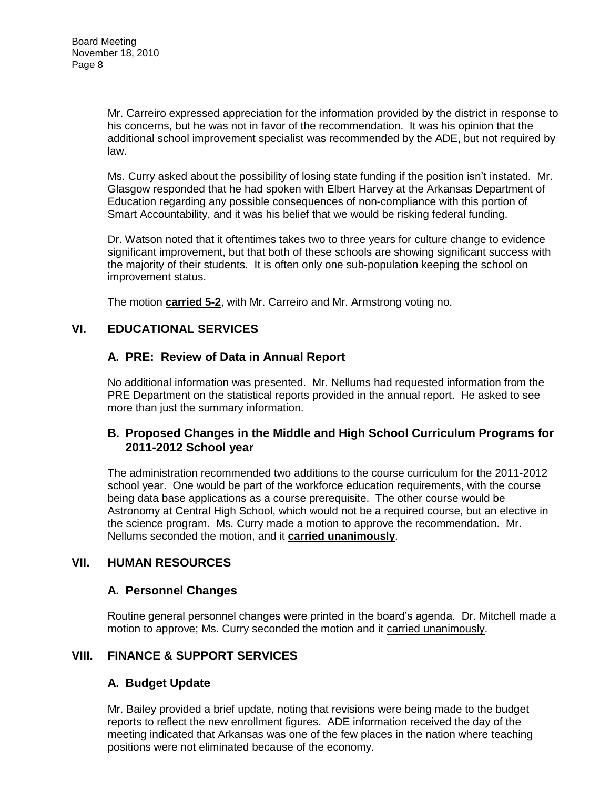Mr. Carreiro expressed appreciation for the information provided by the district in response to his concerns, but he was not in favor of the recommendation. It was his opinion that the additional school improvement specialist was recommended by the ADE, but not required by law.

Ms. Curry asked about the possibility of losing state funding if the position isn't instated. Mr. Glasgow responded that he had spoken with Elbert Harvey at the Arkansas Department of Education regarding any possible consequences of non-compliance with this portion of Smart Accountability, and it was his belief that we would be risking federal funding.

Dr. Watson noted that it oftentimes takes two to three years for culture change to evidence significant improvement, but that both of these schools are showing significant success with the majority of their students. It is often only one sub-population keeping the school on improvement status.

The motion **carried 5-2**, with Mr. Carreiro and Mr. Armstrong voting no.

# **VI. EDUCATIONAL SERVICES**

## **A. PRE: Review of Data in Annual Report**

No additional information was presented. Mr. Nellums had requested information from the PRE Department on the statistical reports provided in the annual report. He asked to see more than just the summary information.

## **B. Proposed Changes in the Middle and High School Curriculum Programs for 2011-2012 School year**

The administration recommended two additions to the course curriculum for the 2011-2012 school year. One would be part of the workforce education requirements, with the course being data base applications as a course prerequisite. The other course would be Astronomy at Central High School, which would not be a required course, but an elective in the science program. Ms. Curry made a motion to approve the recommendation. Mr. Nellums seconded the motion, and it **carried unanimously**.

## **VII. HUMAN RESOURCES**

#### **A. Personnel Changes**

Routine general personnel changes were printed in the board's agenda. Dr. Mitchell made a motion to approve; Ms. Curry seconded the motion and it carried unanimously.

## **VIII. FINANCE & SUPPORT SERVICES**

#### **A. Budget Update**

Mr. Bailey provided a brief update, noting that revisions were being made to the budget reports to reflect the new enrollment figures. ADE information received the day of the meeting indicated that Arkansas was one of the few places in the nation where teaching positions were not eliminated because of the economy.